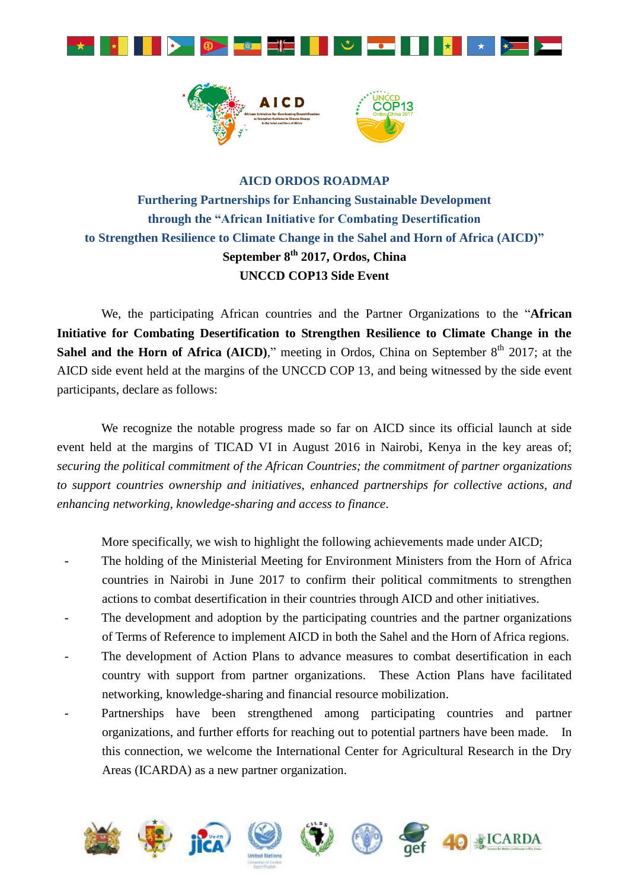



## **AICD ORDOS ROADMAP Furthering Partnerships for Enhancing Sustainable Development through the "African Initiative for Combating Desertification to Strengthen Resilience to Climate Change in the Sahel and Horn of Africa (AICD)" September 8 th 2017, Ordos, China UNCCD COP13 Side Event**

We, the participating African countries and the Partner Organizations to the "**African Initiative for Combating Desertification to Strengthen Resilience to Climate Change in the Sahel and the Horn of Africa (AICD),"** meeting in Ordos, China on September  $8<sup>th</sup>$  2017; at the AICD side event held at the margins of the UNCCD COP 13, and being witnessed by the side event participants, declare as follows:

We recognize the notable progress made so far on AICD since its official launch at side event held at the margins of TICAD VI in August 2016 in Nairobi, Kenya in the key areas of; *securing the political commitment of the African Countries; the commitment of partner organizations to support countries ownership and initiatives, enhanced partnerships for collective actions, and enhancing networking, knowledge-sharing and access to finance*.

More specifically, we wish to highlight the following achievements made under AICD;

- The holding of the Ministerial Meeting for Environment Ministers from the Horn of Africa countries in Nairobi in June 2017 to confirm their political commitments to strengthen actions to combat desertification in their countries through AICD and other initiatives.
- The development and adoption by the participating countries and the partner organizations of Terms of Reference to implement AICD in both the Sahel and the Horn of Africa regions.
- The development of Action Plans to advance measures to combat desertification in each country with support from partner organizations. These Action Plans have facilitated networking, knowledge-sharing and financial resource mobilization.
- Partnerships have been strengthened among participating countries and partner organizations, and further efforts for reaching out to potential partners have been made. In this connection, we welcome the International Center for Agricultural Research in the Dry Areas (ICARDA) as a new partner organization.